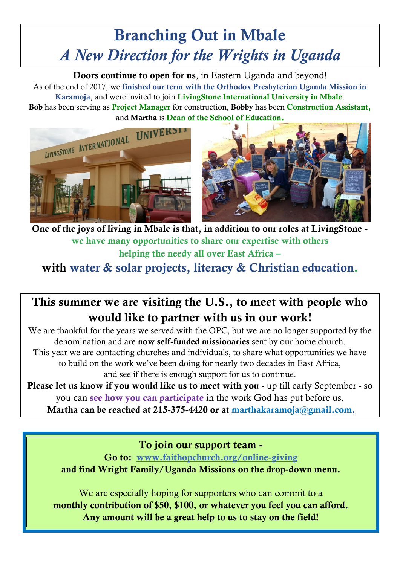## **Branching Out in Mbale** *A New Direction for the Wrights in Uganda*

**Doors continue to open for us**, in Eastern Uganda and beyond! As of the end of 2017, we **finished our term with the Orthodox Presbyterian Uganda Mission in Karamoja**, and were invited to join **LivingStone International University in Mbale**. **Bob** has been serving as **Project Manager** for construction, **Bobby** has been **Construction Assistant,**





**One of the joys of living in Mbale is that, in addition to our roles at LivingStone we have many opportunities to share our expertise with others helping the needy all over East Africa –**

**with water & solar projects, literacy & Christian education.**

## **This summer we are visiting the U.S., to meet with people who would like to partner with us in our work!**

We are thankful for the years we served with the OPC, but we are no longer supported by the denomination and are **now self-funded missionaries** sent by our home church. This year we are contacting churches and individuals, to share what opportunities we have to build on the work we've been doing for nearly two decades in East Africa, and see if there is enough support for us to continue.

**Please let us know if you would like us to meet with you** - up till early September - so you can **see how you can participate** in the work God has put before us.

**Martha can be reached at 215-375-4420 or at [marthakaramoja@gmail.com.](mailto:marthakaramoja@gmail.com)**

**To join our support team -**

**Go to: [www.faithopchurch.org/online-giving](http://www.faithopchurch.org/online-giving) and find Wright Family/Uganda Missions on the drop-down menu.**

We are especially hoping for supporters who can commit to a **monthly contribution of \$50, \$100, or whatever you feel you can afford. Any amount will be a great help to us to stay on the field!**